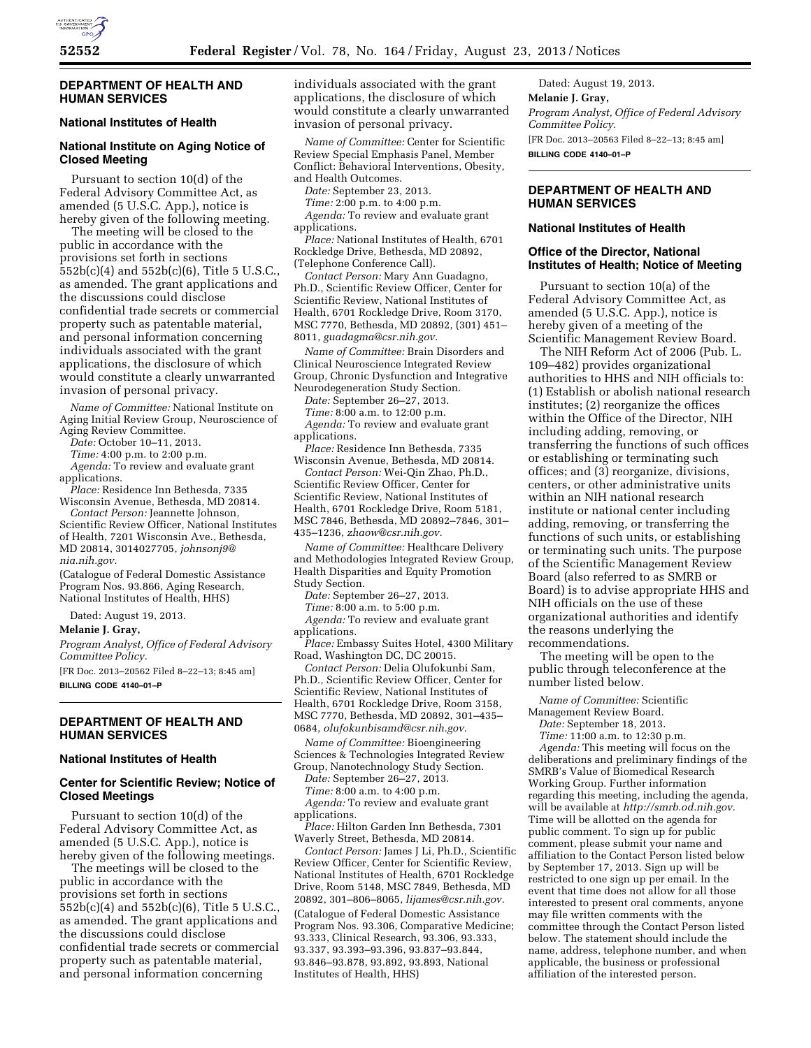

## **DEPARTMENT OF HEALTH AND HUMAN SERVICES**

# **National Institutes of Health**

# **National Institute on Aging Notice of Closed Meeting**

Pursuant to section 10(d) of the Federal Advisory Committee Act, as amended (5 U.S.C. App.), notice is hereby given of the following meeting.

The meeting will be closed to the public in accordance with the provisions set forth in sections 552b(c)(4) and 552b(c)(6), Title 5 U.S.C., as amended. The grant applications and the discussions could disclose confidential trade secrets or commercial property such as patentable material, and personal information concerning individuals associated with the grant applications, the disclosure of which would constitute a clearly unwarranted invasion of personal privacy.

*Name of Committee:* National Institute on Aging Initial Review Group, Neuroscience of Aging Review Committee.

*Date:* October 10–11, 2013.

*Time:* 4:00 p.m. to 2:00 p.m.

- *Agenda:* To review and evaluate grant applications.
- *Place:* Residence Inn Bethesda, 7335 Wisconsin Avenue, Bethesda, MD 20814.

*Contact Person:* Jeannette Johnson, Scientific Review Officer, National Institutes of Health, 7201 Wisconsin Ave., Bethesda, MD 20814, 3014027705, *[johnsonj9@](mailto:johnsonj9@nia.nih.gov) [nia.nih.gov.](mailto:johnsonj9@nia.nih.gov)* 

(Catalogue of Federal Domestic Assistance Program Nos. 93.866, Aging Research, National Institutes of Health, HHS)

Dated: August 19, 2013.

#### **Melanie J. Gray,**

*Program Analyst, Office of Federal Advisory Committee Policy.* 

[FR Doc. 2013–20562 Filed 8–22–13; 8:45 am] **BILLING CODE 4140–01–P** 

# **DEPARTMENT OF HEALTH AND HUMAN SERVICES**

## **National Institutes of Health**

# **Center for Scientific Review; Notice of Closed Meetings**

Pursuant to section 10(d) of the Federal Advisory Committee Act, as amended (5 U.S.C. App.), notice is hereby given of the following meetings.

The meetings will be closed to the public in accordance with the provisions set forth in sections 552b(c)(4) and 552b(c)(6), Title 5 U.S.C., as amended. The grant applications and the discussions could disclose confidential trade secrets or commercial property such as patentable material, and personal information concerning

individuals associated with the grant applications, the disclosure of which would constitute a clearly unwarranted invasion of personal privacy.

*Name of Committee:* Center for Scientific Review Special Emphasis Panel, Member Conflict: Behavioral Interventions, Obesity, and Health Outcomes.

*Date:* September 23, 2013.

*Time:* 2:00 p.m. to 4:00 p.m.

*Agenda:* To review and evaluate grant applications.

*Place:* National Institutes of Health, 6701 Rockledge Drive, Bethesda, MD 20892, (Telephone Conference Call).

*Contact Person:* Mary Ann Guadagno, Ph.D., Scientific Review Officer, Center for Scientific Review, National Institutes of Health, 6701 Rockledge Drive, Room 3170, MSC 7770, Bethesda, MD 20892, (301) 451– 8011, *[guadagma@csr.nih.gov.](mailto:guadagma@csr.nih.gov)* 

*Name of Committee:* Brain Disorders and Clinical Neuroscience Integrated Review Group, Chronic Dysfunction and Integrative Neurodegeneration Study Section.

*Date:* September 26–27, 2013.

*Time:* 8:00 a.m. to 12:00 p.m.

*Agenda:* To review and evaluate grant applications.

*Place:* Residence Inn Bethesda, 7335 Wisconsin Avenue, Bethesda, MD 20814.

*Contact Person:* Wei-Qin Zhao, Ph.D., Scientific Review Officer, Center for Scientific Review, National Institutes of Health, 6701 Rockledge Drive, Room 5181, MSC 7846, Bethesda, MD 20892–7846, 301– 435–1236, *[zhaow@csr.nih.gov.](mailto:zhaow@csr.nih.gov)* 

*Name of Committee:* Healthcare Delivery and Methodologies Integrated Review Group, Health Disparities and Equity Promotion Study Section.

*Date:* September 26–27, 2013.

*Time:* 8:00 a.m. to 5:00 p.m.

*Agenda:* To review and evaluate grant applications.

*Place:* Embassy Suites Hotel, 4300 Military Road, Washington DC, DC 20015.

*Contact Person:* Delia Olufokunbi Sam, Ph.D., Scientific Review Officer, Center for Scientific Review, National Institutes of Health, 6701 Rockledge Drive, Room 3158, MSC 7770, Bethesda, MD 20892, 301–435– 0684, *[olufokunbisamd@csr.nih.gov.](mailto:olufokunbisamd@csr.nih.gov)* 

*Name of Committee:* Bioengineering Sciences & Technologies Integrated Review Group, Nanotechnology Study Section.

*Date:* September 26–27, 2013.

*Time:* 8:00 a.m. to 4:00 p.m.

*Agenda:* To review and evaluate grant applications.

*Place:* Hilton Garden Inn Bethesda, 7301 Waverly Street, Bethesda, MD 20814.

*Contact Person:* James J Li, Ph.D., Scientific Review Officer, Center for Scientific Review, National Institutes of Health, 6701 Rockledge Drive, Room 5148, MSC 7849, Bethesda, MD 20892, 301–806–8065, *[lijames@csr.nih.gov.](mailto:lijames@csr.nih.gov)*  (Catalogue of Federal Domestic Assistance Program Nos. 93.306, Comparative Medicine; 93.333, Clinical Research, 93.306, 93.333, 93.337, 93.393–93.396, 93.837–93.844, 93.846–93.878, 93.892, 93.893, National Institutes of Health, HHS)

Dated: August 19, 2013. **Melanie J. Gray,**  *Program Analyst, Office of Federal Advisory Committee Policy.*  [FR Doc. 2013–20563 Filed 8–22–13; 8:45 am] **BILLING CODE 4140–01–P** 

# **DEPARTMENT OF HEALTH AND HUMAN SERVICES**

# **National Institutes of Health**

#### **Office of the Director, National Institutes of Health; Notice of Meeting**

Pursuant to section 10(a) of the Federal Advisory Committee Act, as amended (5 U.S.C. App.), notice is hereby given of a meeting of the Scientific Management Review Board.

The NIH Reform Act of 2006 (Pub. L. 109–482) provides organizational authorities to HHS and NIH officials to: (1) Establish or abolish national research institutes; (2) reorganize the offices within the Office of the Director, NIH including adding, removing, or transferring the functions of such offices or establishing or terminating such offices; and (3) reorganize, divisions, centers, or other administrative units within an NIH national research institute or national center including adding, removing, or transferring the functions of such units, or establishing or terminating such units. The purpose of the Scientific Management Review Board (also referred to as SMRB or Board) is to advise appropriate HHS and NIH officials on the use of these organizational authorities and identify the reasons underlying the recommendations.

The meeting will be open to the public through teleconference at the number listed below.

*Name of Committee:* Scientific

Management Review Board.

*Date:* September 18, 2013.

*Time:* 11:00 a.m. to 12:30 p.m.

*Agenda:* This meeting will focus on the deliberations and preliminary findings of the SMRB's Value of Biomedical Research Working Group. Further information regarding this meeting, including the agenda, will be available at *[http://smrb.od.nih.gov.](http://smrb.od.nih.gov)*  Time will be allotted on the agenda for public comment. To sign up for public comment, please submit your name and affiliation to the Contact Person listed below by September 17, 2013. Sign up will be restricted to one sign up per email. In the event that time does not allow for all those interested to present oral comments, anyone may file written comments with the committee through the Contact Person listed below. The statement should include the name, address, telephone number, and when applicable, the business or professional affiliation of the interested person.